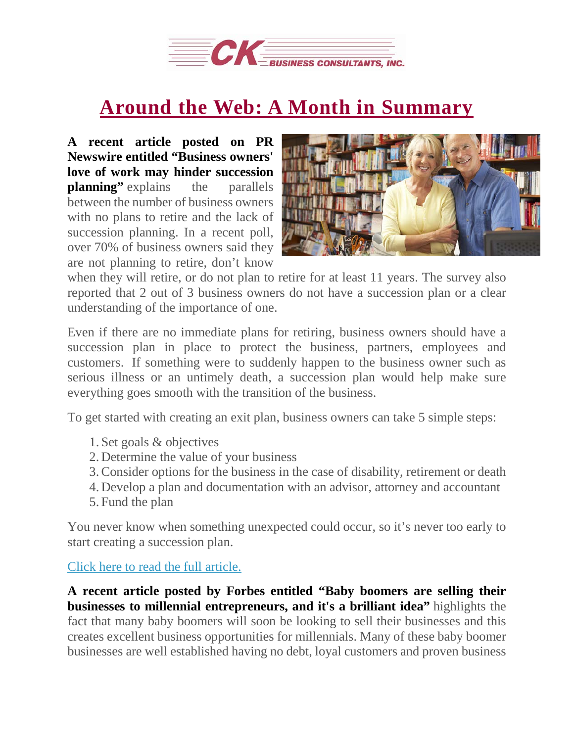

## **Around the Web: A Month in [Summary](https://deal-studio.com/around-the-web-a-month-in-summary/)**

**A recent article posted on PR Newswire entitled "Business owners' love of work may hinder succession planning"** explains the parallels between the number of business owners with no plans to retire and the lack of succession planning. In a recent poll, over 70% of business owners said they are not planning to retire, don't know



when they will retire, or do not plan to retire for at least 11 years. The survey also reported that 2 out of 3 business owners do not have a succession plan or a clear understanding of the importance of one.

Even if there are no immediate plans for retiring, business owners should have a succession plan in place to protect the business, partners, employees and customers. If something were to suddenly happen to the business owner such as serious illness or an untimely death, a succession plan would help make sure everything goes smooth with the transition of the business.

To get started with creating an exit plan, business owners can take 5 simple steps:

- 1. Set goals & objectives
- 2. Determine the value of your business
- 3.Consider options for the business in the case of disability, retirement or death
- 4. Develop a plan and documentation with an advisor, attorney and accountant
- 5. Fund the plan

You never know when something unexpected could occur, so it's never too early to start creating a succession plan.

Click here to read the full [article.](https://www.prnewswire.com/news-releases/business-owners-love-of-work-may-hinder-succession-planning-300587476.html)

**A recent article posted by Forbes entitled "Baby boomers are selling their businesses to millennial entrepreneurs, and it's a brilliant idea"** highlights the fact that many baby boomers will soon be looking to sell their businesses and this creates excellent business opportunities for millennials. Many of these baby boomer businesses are well established having no debt, loyal customers and proven business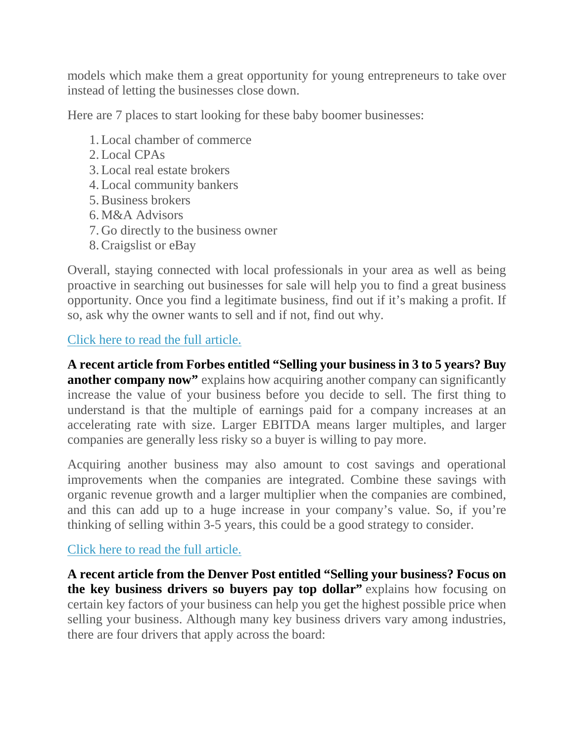models which make them a great opportunity for young entrepreneurs to take over instead of letting the businesses close down.

Here are 7 places to start looking for these baby boomer businesses:

- 1.Local chamber of commerce
- 2.Local CPAs
- 3.Local real estate brokers
- 4.Local community bankers
- 5.Business brokers
- 6. M&A Advisors
- 7. Go directly to the business owner
- 8.Craigslist or eBay

Overall, staying connected with local professionals in your area as well as being proactive in searching out businesses for sale will help you to find a great business opportunity. Once you find a legitimate business, find out if it's making a profit. If so, ask why the owner wants to sell and if not, find out why.

## Click here to read the full [article.](https://www.forbes.com/sites/forbesagencycouncil/2017/09/29/baby-boomers-are-selling-their-businesses-to-millennial-entrepreneurs-and-its-a-brilliant-idea/#12f279a93181)

**A recent article from Forbes entitled "Selling your business in 3 to 5 years? Buy another company now"** explains how acquiring another company can significantly increase the value of your business before you decide to sell. The first thing to understand is that the multiple of earnings paid for a company increases at an accelerating rate with size. Larger EBITDA means larger multiples, and larger companies are generally less risky so a buyer is willing to pay more.

Acquiring another business may also amount to cost savings and operational improvements when the companies are integrated. Combine these savings with organic revenue growth and a larger multiplier when the companies are combined, and this can add up to a huge increase in your company's value. So, if you're thinking of selling within 3-5 years, this could be a good strategy to consider.

## Click here to read the full [article.](https://www.forbes.com/sites/toddganos/2018/01/30/selling-your-business-in-3-to-5-years-buy-another-company-now/#512ea52d20bc)

**A recent article from the Denver Post entitled "Selling your business? Focus on the key business drivers so buyers pay top dollar"** explains how focusing on certain key factors of your business can help you get the highest possible price when selling your business. Although many key business drivers vary among industries, there are four drivers that apply across the board: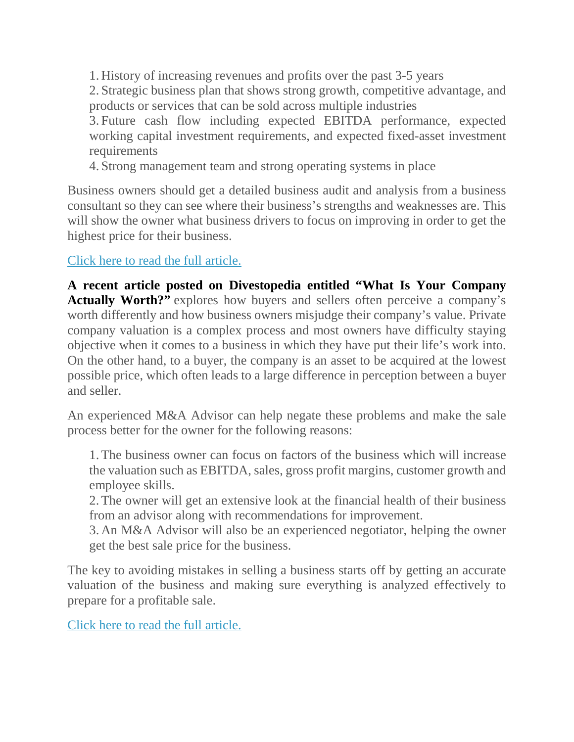1. History of increasing revenues and profits over the past 3-5 years 2. Strategic business plan that shows strong growth, competitive advantage, and products or services that can be sold across multiple industries 3. Future cash flow including expected EBITDA performance, expected

working capital investment requirements, and expected fixed-asset investment requirements

4. Strong management team and strong operating systems in place

Business owners should get a detailed business audit and analysis from a business consultant so they can see where their business's strengths and weaknesses are. This will show the owner what business drivers to focus on improving in order to get the highest price for their business.

## Click here to read the full [article.](https://www.denverpost.com/2018/01/21/selling-business-2018/)

**A recent article posted on Divestopedia entitled "What Is Your Company Actually Worth?"** explores how buyers and sellers often perceive a company's worth differently and how business owners misjudge their company's value. Private company valuation is a complex process and most owners have difficulty staying objective when it comes to a business in which they have put their life's work into. On the other hand, to a buyer, the company is an asset to be acquired at the lowest possible price, which often leads to a large difference in perception between a buyer and seller.

An experienced M&A Advisor can help negate these problems and make the sale process better for the owner for the following reasons:

1.The business owner can focus on factors of the business which will increase the valuation such as EBITDA, sales, gross profit margins, customer growth and employee skills.

2.The owner will get an extensive look at the financial health of their business from an advisor along with recommendations for improvement.

3. An M&A Advisor will also be an experienced negotiator, helping the owner get the best sale price for the business.

The key to avoiding mistakes in selling a business starts off by getting an accurate valuation of the business and making sure everything is analyzed effectively to prepare for a profitable sale.

Click here to read the full [article.](https://www.divestopedia.com/what-is-your-company-actually-worth/2/9450)